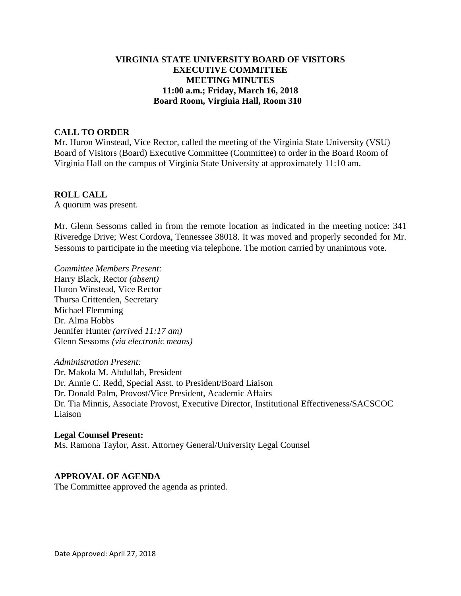## **VIRGINIA STATE UNIVERSITY BOARD OF VISITORS EXECUTIVE COMMITTEE MEETING MINUTES 11:00 a.m.; Friday, March 16, 2018 Board Room, Virginia Hall, Room 310**

## **CALL TO ORDER**

Mr. Huron Winstead, Vice Rector, called the meeting of the Virginia State University (VSU) Board of Visitors (Board) Executive Committee (Committee) to order in the Board Room of Virginia Hall on the campus of Virginia State University at approximately 11:10 am.

#### **ROLL CALL**

A quorum was present.

Mr. Glenn Sessoms called in from the remote location as indicated in the meeting notice: 341 Riveredge Drive; West Cordova, Tennessee 38018. It was moved and properly seconded for Mr. Sessoms to participate in the meeting via telephone. The motion carried by unanimous vote.

*Committee Members Present:* Harry Black, Rector *(absent)* Huron Winstead, Vice Rector Thursa Crittenden, Secretary Michael Flemming Dr. Alma Hobbs Jennifer Hunter *(arrived 11:17 am)* Glenn Sessoms *(via electronic means)*

*Administration Present:* Dr. Makola M. Abdullah, President Dr. Annie C. Redd, Special Asst. to President/Board Liaison Dr. Donald Palm, Provost/Vice President, Academic Affairs Dr. Tia Minnis, Associate Provost, Executive Director, Institutional Effectiveness/SACSCOC Liaison

# **Legal Counsel Present:** Ms. Ramona Taylor, Asst. Attorney General/University Legal Counsel

#### **APPROVAL OF AGENDA**

The Committee approved the agenda as printed.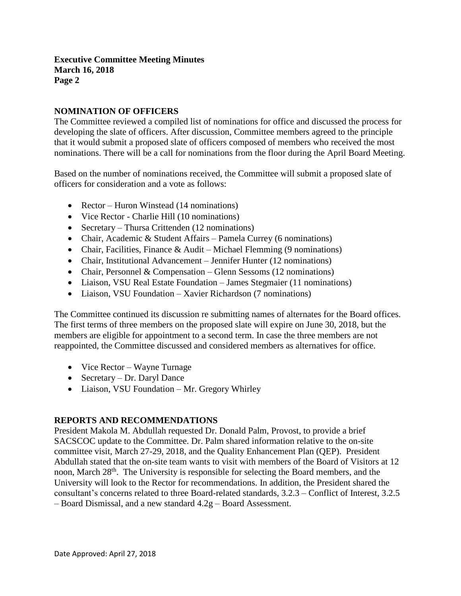## **NOMINATION OF OFFICERS**

The Committee reviewed a compiled list of nominations for office and discussed the process for developing the slate of officers. After discussion, Committee members agreed to the principle that it would submit a proposed slate of officers composed of members who received the most nominations. There will be a call for nominations from the floor during the April Board Meeting.

Based on the number of nominations received, the Committee will submit a proposed slate of officers for consideration and a vote as follows:

- Rector Huron Winstead (14 nominations)
- Vice Rector Charlie Hill (10 nominations)
- Secretary Thursa Crittenden (12 nominations)
- Chair, Academic & Student Affairs Pamela Currey (6 nominations)
- Chair, Facilities, Finance & Audit Michael Flemming (9 nominations)
- Chair, Institutional Advancement Jennifer Hunter (12 nominations)
- Chair, Personnel & Compensation Glenn Sessoms (12 nominations)
- Liaison, VSU Real Estate Foundation James Stegmaier (11 nominations)
- Liaison, VSU Foundation Xavier Richardson (7 nominations)

The Committee continued its discussion re submitting names of alternates for the Board offices. The first terms of three members on the proposed slate will expire on June 30, 2018, but the members are eligible for appointment to a second term. In case the three members are not reappointed, the Committee discussed and considered members as alternatives for office.

- Vice Rector Wayne Turnage
- Secretary Dr. Daryl Dance
- Liaison, VSU Foundation Mr. Gregory Whirley

#### **REPORTS AND RECOMMENDATIONS**

President Makola M. Abdullah requested Dr. Donald Palm, Provost, to provide a brief SACSCOC update to the Committee. Dr. Palm shared information relative to the on-site committee visit, March 27-29, 2018, and the Quality Enhancement Plan (QEP). President Abdullah stated that the on-site team wants to visit with members of the Board of Visitors at 12 noon, March 28<sup>th</sup>. The University is responsible for selecting the Board members, and the University will look to the Rector for recommendations. In addition, the President shared the consultant's concerns related to three Board-related standards, 3.2.3 – Conflict of Interest, 3.2.5 – Board Dismissal, and a new standard 4.2g – Board Assessment.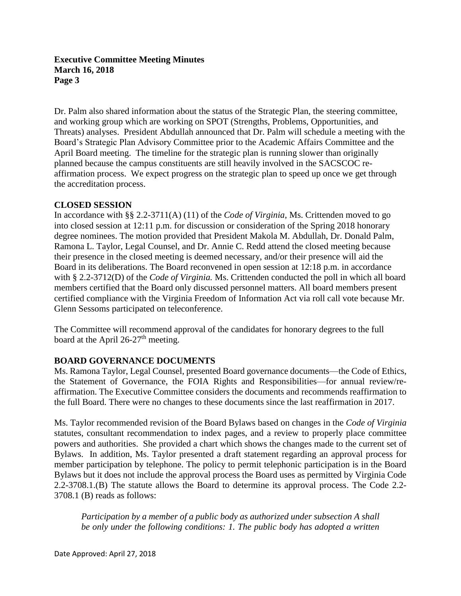## **Executive Committee Meeting Minutes March 16, 2018 Page 3**

Dr. Palm also shared information about the status of the Strategic Plan, the steering committee, and working group which are working on SPOT (Strengths, Problems, Opportunities, and Threats) analyses. President Abdullah announced that Dr. Palm will schedule a meeting with the Board's Strategic Plan Advisory Committee prior to the Academic Affairs Committee and the April Board meeting. The timeline for the strategic plan is running slower than originally planned because the campus constituents are still heavily involved in the SACSCOC reaffirmation process. We expect progress on the strategic plan to speed up once we get through the accreditation process.

## **CLOSED SESSION**

In accordance with §§ 2.2-3711(A) (11) of the *Code of Virginia*, Ms. Crittenden moved to go into closed session at 12:11 p.m. for discussion or consideration of the Spring 2018 honorary degree nominees. The motion provided that President Makola M. Abdullah, Dr. Donald Palm, Ramona L. Taylor, Legal Counsel, and Dr. Annie C. Redd attend the closed meeting because their presence in the closed meeting is deemed necessary, and/or their presence will aid the Board in its deliberations. The Board reconvened in open session at 12:18 p.m. in accordance with § 2.2-3712(D) of the *Code of Virginia.* Ms. Crittenden conducted the poll in which all board members certified that the Board only discussed personnel matters. All board members present certified compliance with the Virginia Freedom of Information Act via roll call vote because Mr. Glenn Sessoms participated on teleconference.

The Committee will recommend approval of the candidates for honorary degrees to the full board at the April  $26-27$ <sup>th</sup> meeting.

# **BOARD GOVERNANCE DOCUMENTS**

Ms. Ramona Taylor, Legal Counsel, presented Board governance documents—the Code of Ethics, the Statement of Governance, the FOIA Rights and Responsibilities—for annual review/reaffirmation. The Executive Committee considers the documents and recommends reaffirmation to the full Board. There were no changes to these documents since the last reaffirmation in 2017.

Ms. Taylor recommended revision of the Board Bylaws based on changes in the *Code of Virginia* statutes, consultant recommendation to index pages, and a review to properly place committee powers and authorities. She provided a chart which shows the changes made to the current set of Bylaws. In addition, Ms. Taylor presented a draft statement regarding an approval process for member participation by telephone. The policy to permit telephonic participation is in the Board Bylaws but it does not include the approval process the Board uses as permitted by Virginia Code 2.2-3708.1.(B) The statute allows the Board to determine its approval process. The Code 2.2- 3708.1 (B) reads as follows:

*Participation by a member of a public body as authorized under subsection A shall be only under the following conditions: 1. The public body has adopted a written*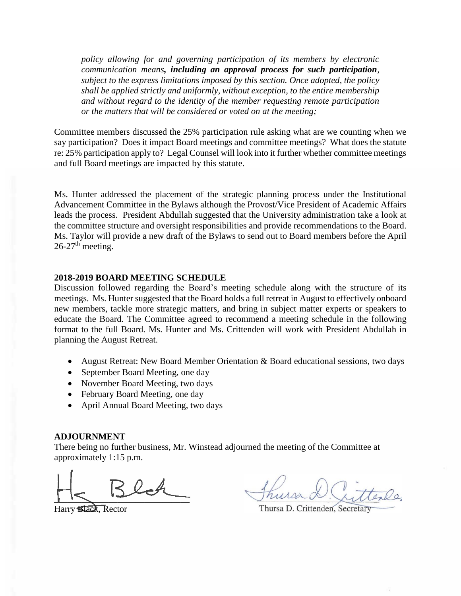*policy allowing for and governing participation of its members by electronic communication means, including an approval process for such participation, subject to the express limitations imposed by this section. Once adopted, the policy shall be applied strictly and uniformly, without exception, to the entire membership and without regard to the identity of the member requesting remote participation or the matters that will be considered or voted on at the meeting;*

Committee members discussed the 25% participation rule asking what are we counting when we say participation? Does it impact Board meetings and committee meetings? What does the statute re: 25% participation apply to? Legal Counsel will look into it further whether committee meetings and full Board meetings are impacted by this statute.

Ms. Hunter addressed the placement of the strategic planning process under the Institutional Advancement Committee in the Bylaws although the Provost/Vice President of Academic Affairs leads the process. President Abdullah suggested that the University administration take a look at the committee structure and oversight responsibilities and provide recommendations to the Board. Ms. Taylor will provide a new draft of the Bylaws to send out to Board members before the April  $26-27$ <sup>th</sup> meeting.

#### **2018-2019 BOARD MEETING SCHEDULE**

Discussion followed regarding the Board's meeting schedule along with the structure of its meetings. Ms. Hunter suggested that the Board holds a full retreat in August to effectively onboard new members, tackle more strategic matters, and bring in subject matter experts or speakers to educate the Board. The Committee agreed to recommend a meeting schedule in the following format to the full Board. Ms. Hunter and Ms. Crittenden will work with President Abdullah in planning the August Retreat.

- August Retreat: New Board Member Orientation & Board educational sessions, two days
- September Board Meeting, one day
- November Board Meeting, two days
- February Board Meeting, one day
- April Annual Board Meeting, two days

#### **ADJOURNMENT**

There being no further business, Mr. Winstead adjourned the meeting of the Committee [at](x-apple-data-detectors://embedded-result/2863)  [approximately 1:15](x-apple-data-detectors://embedded-result/2863) p.m.

 $\overline{\phantom{a}}$ 

Harry Black, Rector

Thursa D. Crittenden, Secretary